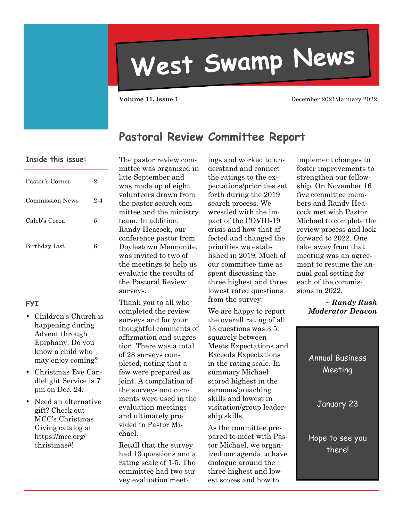# **West Swamp News**

**Volume 11, Issue 1 December 2021/January 2022** 

#### **Pastoral Review Committee Report**

#### **Inside this issue:**

| Pastor's Corner        | 2       |
|------------------------|---------|
| <b>Commission News</b> | $2 - 4$ |
| Caleb's Cocoa          | 5       |
| Birthday List          | В       |

#### **FYI**

- Children's Church is happening during Advent through Epiphany. Do you know a child who may enjoy coming?
- Christmas Eve Candlelight Service is 7 pm on Dec. 24.
- Need an alternative gift? Check out MCC's Christmas Giving catalog at https://mcc.org/ christmas#!

The pastor review committee was organized in late September and was made up of eight volunteers drawn from the pastor search committee and the ministry team. In addition, Randy Heacock, our conference pastor from Doylestown Mennonite, was invited to two of the meetings to help us evaluate the results of the Pastoral Review surveys.

Thank you to all who completed the review surveys and for your thoughtful comments of affirmation and suggestion. There was a total of 28 surveys completed, noting that a few were prepared as joint. A compilation of the surveys and comments were used in the evaluation meetings and ultimately provided to Pastor Michael.

Recall that the survey had 13 questions and a rating scale of 1-5. The committee had two survey evaluation meetings and worked to understand and connect the ratings to the expectations/priorities set forth during the 2019 search process. We wrestled with the impact of the COVID-19 crisis and how that affected and changed the priorities we established in 2019. Much of our committee time as spent discussing the three highest and three lowest rated questions from the survey.

We are happy to report the overall rating of all 13 questions was 3.5, squarely between Meets Expectations and Exceeds Expectations in the rating scale. In summary Michael scored highest in the sermons/preaching skills and lowest in visitation/group leadership skills.

As the committee prepared to meet with Pastor Michael, we organized our agenda to have dialogue around the three highest and lowest scores and how to

implement changes to foster improvements to strengthen our fellowship. On November 16 five committee members and Randy Heacock met with Pastor Michael to complete the review process and look forward to 2022. One take away from that meeting was an agreement to resume the annual goal setting for each of the commissions in 2022.

> *~ Randy Rush Moderator Deacon*

Annual Business Meeting January 23 Hope to see you there!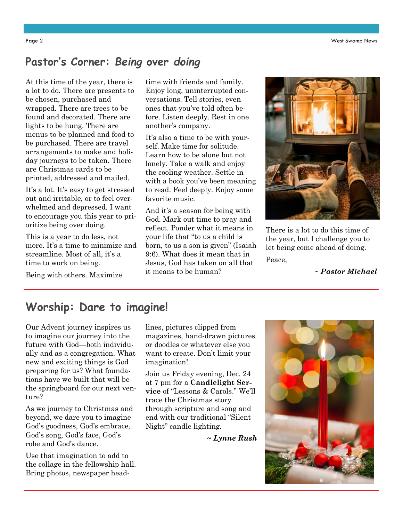#### **Pastor's Corner:** *Being* **over** *doing*

At this time of the year, there is a lot to do. There are presents to be chosen, purchased and wrapped. There are trees to be found and decorated. There are lights to be hung. There are menus to be planned and food to be purchased. There are travel arrangements to make and holiday journeys to be taken. There are Christmas cards to be printed, addressed and mailed.

It's a lot. It's easy to get stressed out and irritable, or to feel overwhelmed and depressed. I want to encourage you this year to prioritize being over doing.

This is a year to do less, not more. It's a time to minimize and streamline. Most of all, it's a time to work on being.

Being with others. Maximize

time with friends and family. Enjoy long, uninterrupted conversations. Tell stories, even ones that you've told often before. Listen deeply. Rest in one another's company.

It's also a time to be with yourself. Make time for solitude. Learn how to be alone but not lonely. Take a walk and enjoy the cooling weather. Settle in with a book you've been meaning to read. Feel deeply. Enjoy some favorite music.

And it's a season for being with God. Mark out time to pray and reflect. Ponder what it means in your life that "to us a child is born, to us a son is given" (Isaiah 9:6). What does it mean that in Jesus, God has taken on all that it means to be human?



There is a lot to do this time of the year, but I challenge you to let being come ahead of doing.

Peace,

*~ Pastor Michael* 

## **Worship: Dare to imagine!**

Our Advent journey inspires us to imagine our journey into the future with God—both individually and as a congregation. What new and exciting things is God preparing for us? What foundations have we built that will be the springboard for our next venture?

As we journey to Christmas and beyond, we dare you to imagine God's goodness, God's embrace, God's song, God's face, God's robe and God's dance.

Use that imagination to add to the collage in the fellowship hall. Bring photos, newspaper headlines, pictures clipped from magazines, hand-drawn pictures or doodles or whatever else you want to create. Don't limit your imagination!

Join us Friday evening, Dec. 24 at 7 pm for a **Candlelight Service** of "Lessons & Carols." We'll trace the Christmas story through scripture and song and end with our traditional "Silent Night" candle lighting.

*~ Lynne Rush*

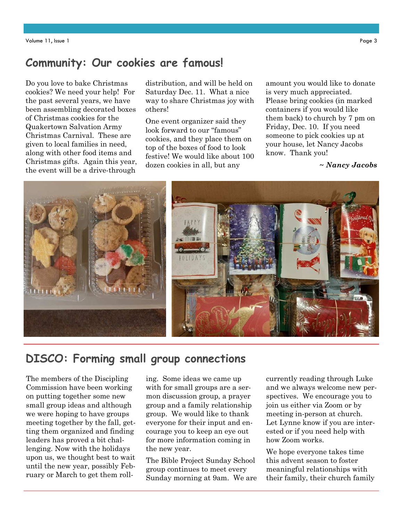## **Community: Our cookies are famous!**

Do you love to bake Christmas cookies? We need your help! For the past several years, we have been assembling decorated boxes of Christmas cookies for the Quakertown Salvation Army Christmas Carnival. These are given to local families in need, along with other food items and Christmas gifts. Again this year, the event will be a drive-through

distribution, and will be held on Saturday Dec. 11. What a nice way to share Christmas joy with others!

One event organizer said they look forward to our "famous" cookies, and they place them on top of the boxes of food to look festive! We would like about 100 dozen cookies in all, but any

amount you would like to donate is very much appreciated. Please bring cookies (in marked containers if you would like them back) to church by 7 pm on Friday, Dec. 10. If you need someone to pick cookies up at your house, let Nancy Jacobs know. Thank you!

*~ Nancy Jacobs*



## **DISCO: Forming small group connections**

The members of the Discipling Commission have been working on putting together some new small group ideas and although we were hoping to have groups meeting together by the fall, getting them organized and finding leaders has proved a bit challenging. Now with the holidays upon us, we thought best to wait until the new year, possibly February or March to get them rolling. Some ideas we came up with for small groups are a sermon discussion group, a prayer group and a family relationship group. We would like to thank everyone for their input and encourage you to keep an eye out for more information coming in the new year.

The Bible Project Sunday School group continues to meet every Sunday morning at 9am. We are currently reading through Luke and we always welcome new perspectives. We encourage you to join us either via Zoom or by meeting in-person at church. Let Lynne know if you are interested or if you need help with how Zoom works.

We hope everyone takes time this advent season to foster meaningful relationships with their family, their church family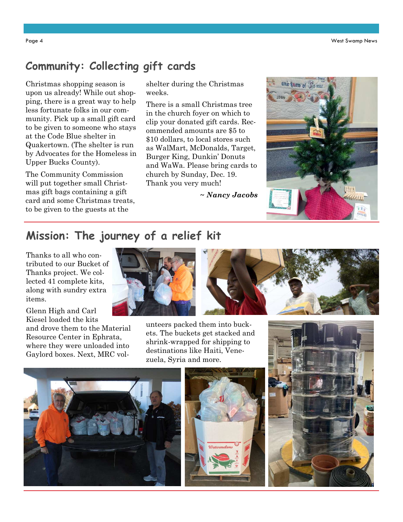## **Community: Collecting gift cards**

Christmas shopping season is upon us already! While out shopping, there is a great way to help less fortunate folks in our community. Pick up a small gift card to be given to someone who stays at the Code Blue shelter in Quakertown. (The shelter is run by Advocates for the Homeless in Upper Bucks County).

The Community Commission will put together small Christmas gift bags containing a gift card and some Christmas treats, to be given to the guests at the

shelter during the Christmas weeks.

There is a small Christmas tree in the church foyer on which to clip your donated gift cards. Recommended amounts are \$5 to \$10 dollars, to local stores such as WalMart, McDonalds, Target, Burger King, Dunkin' Donuts and WaWa. Please bring cards to church by Sunday, Dec. 19. Thank you very much!

*~ Nancy Jacobs*



## **Mission: The journey of a relief kit**

Thanks to all who contributed to our Bucket of Thanks project. We collected 41 complete kits, along with sundry extra items.

Glenn High and Carl Kiesel loaded the kits

and drove them to the Material Resource Center in Ephrata, where they were unloaded into Gaylord boxes. Next, MRC vol-



unteers packed them into buckets. The buckets get stacked and shrink-wrapped for shipping to destinations like Haiti, Venezuela, Syria and more.





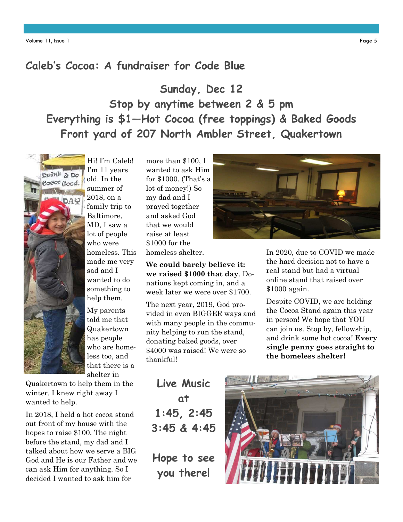#### **Caleb's Cocoa: A fundraiser for Code Blue**

**Sunday, Dec 12 Stop by anytime between 2 & 5 pm Everything is \$1—Hot Cocoa (free toppings) & Baked Goods Front yard of 207 North Ambler Street, Quakertown** 



Hi! I'm Caleb! I'm 11 years old. In the summer of 2018, on a family trip to Baltimore, MD, I saw a lot of people who were homeless. This made me very sad and I wanted to do something to help them.

My parents told me that Quakertown has people who are homeless too, and that there is a shelter in

Quakertown to help them in the winter. I knew right away I wanted to help.

In 2018, I held a hot cocoa stand out front of my house with the hopes to raise \$100. The night before the stand, my dad and I talked about how we serve a BIG God and He is our Father and we can ask Him for anything. So I decided I wanted to ask him for

more than \$100, I wanted to ask Him for \$1000. (That's a lot of money!) So my dad and I prayed together and asked God that we would raise at least \$1000 for the homeless shelter.

**We could barely believe it: we raised \$1000 that day**. Donations kept coming in, and a week later we were over \$1700.

The next year, 2019, God provided in even BIGGER ways and with many people in the community helping to run the stand, donating baked goods, over \$4000 was raised! We were so thankful!

**Live Music at 1:45, 2:45 3:45 & 4:45** 

**Hope to see you there!** 



In 2020, due to COVID we made the hard decision not to have a real stand but had a virtual online stand that raised over \$1000 again.

Despite COVID, we are holding the Cocoa Stand again this year in person! We hope that YOU can join us. Stop by, fellowship, and drink some hot cocoa! **Every single penny goes straight to the homeless shelter!**